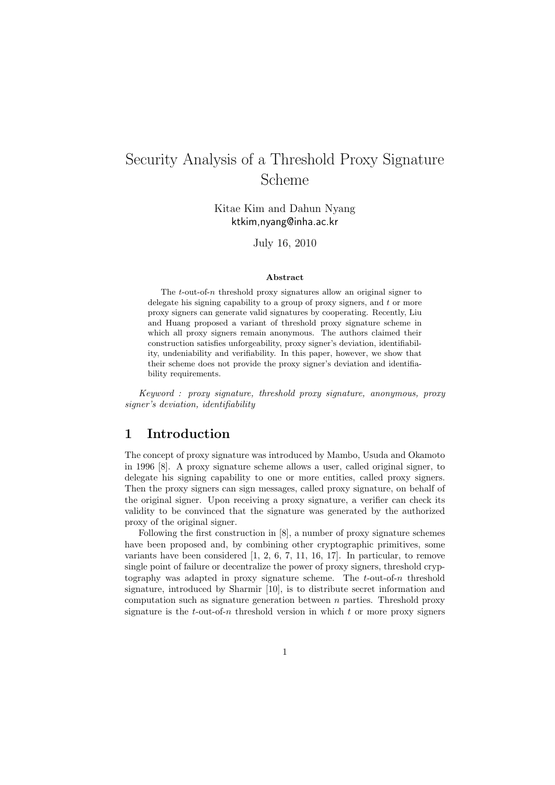# Security Analysis of a Threshold Proxy Signature Scheme

Kitae Kim and Dahun Nyang ktkim,nyang@inha.ac.kr

July 16, 2010

#### **Abstract**

The *t*-out-of-*n* threshold proxy signatures allow an original signer to delegate his signing capability to a group of proxy signers, and *t* or more proxy signers can generate valid signatures by cooperating. Recently, Liu and Huang proposed a variant of threshold proxy signature scheme in which all proxy signers remain anonymous. The authors claimed their construction satisfies unforgeability, proxy signer's deviation, identifiability, undeniability and verifiability. In this paper, however, we show that their scheme does not provide the proxy signer's deviation and identifiability requirements.

*Keyword : proxy signature, threshold proxy signature, anonymous, proxy signer's deviation, identifiability*

### **1 Introduction**

The concept of proxy signature was introduced by Mambo, Usuda and Okamoto in 1996 [8]. A proxy signature scheme allows a user, called original signer, to delegate his signing capability to one or more entities, called proxy signers. Then the proxy signers can sign messages, called proxy signature, on behalf of the original signer. Upon receiving a proxy signature, a verifier can check its validity to be convinced that the signature was generated by the authorized proxy of the original signer.

Following the first construction in [8], a number of proxy signature schemes have been proposed and, by combining other cryptographic primitives, some variants have been considered [1, 2, 6, 7, 11, 16, 17]. In particular, to remove single point of failure or decentralize the power of proxy signers, threshold cryptography was adapted in proxy signature scheme. The *t*-out-of-*n* threshold signature, introduced by Sharmir [10], is to distribute secret information and computation such as signature generation between *n* parties. Threshold proxy signature is the  $t$ -out-of- $n$  threshold version in which  $t$  or more proxy signers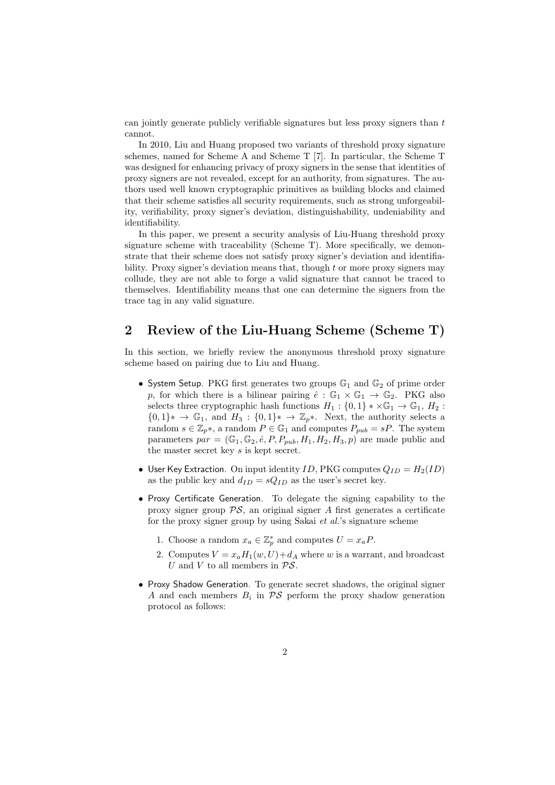can jointly generate publicly verifiable signatures but less proxy signers than *t* cannot.

In 2010, Liu and Huang proposed two variants of threshold proxy signature schemes, named for Scheme A and Scheme T [7]. In particular, the Scheme T was designed for enhancing privacy of proxy signers in the sense that identities of proxy signers are not revealed, except for an authority, from signatures. The authors used well known cryptographic primitives as building blocks and claimed that their scheme satisfies all security requirements, such as strong unforgeability, verifiability, proxy signer's deviation, distinguishability, undeniability and identifiability.

In this paper, we present a security analysis of Liu-Huang threshold proxy signature scheme with traceability (Scheme T). More specifically, we demonstrate that their scheme does not satisfy proxy signer's deviation and identifiability. Proxy signer's deviation means that, though *t* or more proxy signers may collude, they are not able to forge a valid signature that cannot be traced to themselves. Identifiability means that one can determine the signers from the trace tag in any valid signature.

#### **2 Review of the Liu-Huang Scheme (Scheme T)**

In this section, we briefly review the anonymous threshold proxy signature scheme based on pairing due to Liu and Huang.

- System Setup. PKG first generates two groups  $\mathbb{G}_1$  and  $\mathbb{G}_2$  of prime order *p*, for which there is a bilinear pairing  $\hat{e}: \mathbb{G}_1 \times \mathbb{G}_1 \to \mathbb{G}_2$ . PKG also selects three cryptographic hash functions  $H_1$ :  $\{0,1\} * \times \mathbb{G}_1 \to \mathbb{G}_1$ ,  $H_2$ :  ${0,1}$ <sup>\*</sup> → G<sub>1</sub>, and  $H_3$ :  ${0,1}$ <sup>\*</sup> → Z<sub>*p*</sub><sup>\*</sup>. Next, the authority selects a random  $s \in \mathbb{Z}_p$ <sup>\*</sup>, a random  $P \in \mathbb{G}_1$  and computes  $P_{pub} = sP$ . The system parameters  $par = (\mathbb{G}_1, \mathbb{G}_2, \hat{e}, P, P_{pub}, H_1, H_2, H_3, p)$  are made public and the master secret key *s* is kept secret.
- User Key Extraction. On input identity  $ID$ , PKG computes  $Q_{ID} = H_2(ID)$ as the public key and  $d_{ID} = sQ_{ID}$  as the user's secret key.
- *•* Proxy Certificate Generation. To delegate the signing capability to the proxy signer group *PS*, an original signer *A* first generates a certificate for the proxy signer group by using Sakai *et al.*'s signature scheme
	- 1. Choose a random  $x_a \in \mathbb{Z}_p^*$  and computes  $U = x_a P$ .
	- 2. Computes  $V = x_a H_1(w, U) + d_A$  where *w* is a warrant, and broadcast *U* and *V* to all members in *PS*.
- *•* Proxy Shadow Generation. To generate secret shadows, the original signer *A* and each members  $B_i$  in  $\mathcal{PS}$  perform the proxy shadow generation protocol as follows: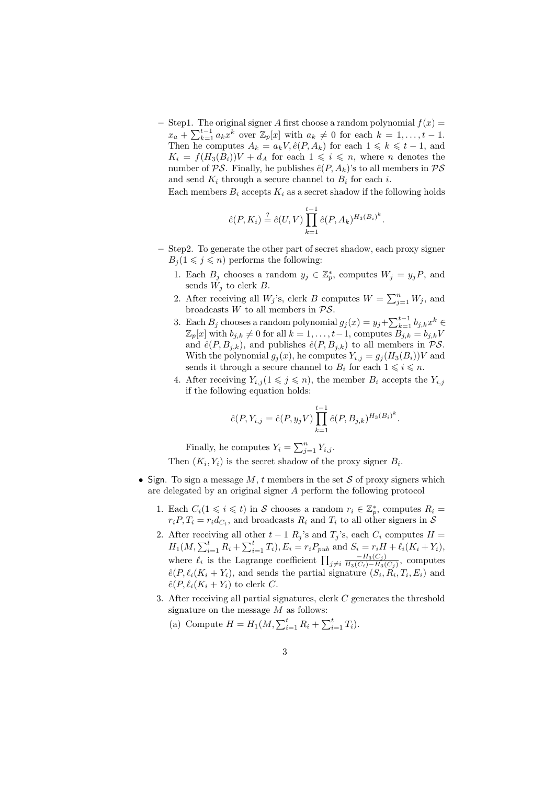$-$  Step1. The original signer *A* first choose a random polynomial  $f(x) =$  $x_a + \sum_{k=1}^{t-1} a_k x^k$  over  $\mathbb{Z}_p[x]$  with  $a_k \neq 0$  for each  $k = 1, \ldots, t-1$ . Then he computes  $A_k = a_k V$ ,  $\hat{e}(P, A_k)$  for each  $1 \leq k \leq t-1$ , and  $K_i = f(H_3(B_i))V + d_A$  for each  $1 \leq i \leq n$ , where *n* denotes the number of  $\mathcal{PS}$ . Finally, he publishes  $\hat{e}(P, A_k)$ 's to all members in  $\mathcal{PS}$ and send  $K_i$  through a secure channel to  $B_i$  for each *i*.

Each members  $B_i$  accepts  $K_i$  as a secret shadow if the following holds

$$
\hat{e}(P, K_i) \stackrel{?}{=} \hat{e}(U, V) \prod_{k=1}^{t-1} \hat{e}(P, A_k)^{H_3(B_i)^k}
$$

*.*

- **–** Step2. To generate the other part of secret shadow, each proxy signer  $B_i(1 \leq j \leq n)$  performs the following:
	- 1. Each  $B_j$  chooses a random  $y_j \in \mathbb{Z}_p^*$ , computes  $W_j = y_j P$ , and sends  $W_i$  to clerk  $B$ .
	- 2. After receiving all  $W_j$ 's, clerk *B* computes  $W = \sum_{j=1}^n W_j$ , and broadcasts *W* to all members in *PS*.
	- 3. Each  $B_j$  chooses a random polynomial  $g_j(x) = y_j + \sum_{k=1}^{t-1} b_{j,k} x^k$   $\in$  $\mathbb{Z}_p[x]$  with  $b_{j,k} \neq 0$  for all  $k = 1, \ldots, t-1$ , computes  $B_{j,k} = b_{j,k}V$ and  $\hat{e}(P, B_{j,k})$ , and publishes  $\hat{e}(P, B_{j,k})$  to all members in  $\mathcal{PS}$ . With the polynomial  $g_j(x)$ , he computes  $Y_{i,j} = g_j(H_3(B_i))V$  and sends it through a secure channel to  $B_i$  for each  $1 \leq i \leq n$ .
	- 4. After receiving  $Y_{i,j}$  ( $1 \leq j \leq n$ ), the member  $B_i$  accepts the  $Y_{i,j}$ if the following equation holds:

$$
\hat{e}(P, Y_{i,j} = \hat{e}(P, y_j V) \prod_{k=1}^{t-1} \hat{e}(P, B_{j,k})^{H_3(B_i)^k}.
$$

Finally, he computes  $Y_i = \sum_{j=1}^n Y_{i,j}$ .

Then  $(K_i, Y_i)$  is the secret shadow of the proxy signer  $B_i$ .

- *•* Sign. To sign a message *M*, *t* members in the set *S* of proxy signers which are delegated by an original signer *A* perform the following protocol
	- 1. Each  $C_i(1 \leq i \leq t)$  in *S* chooses a random  $r_i \in \mathbb{Z}_p^*$ , computes  $R_i =$  $r_i P, T_i = r_i d_{C_i}$ , and broadcasts  $R_i$  and  $T_i$  to all other signers in *S*
	- 2. After receiving all other  $t 1$   $R_j$ 's and  $T_j$ 's, each  $C_i$  computes  $H =$  $H_1(M, \sum_{i=1}^t R_i + \sum_{i=1}^t T_i), E_i = r_i P_{pub}$  and  $S_i = r_i H + \ell_i (K_i + Y_i),$ where  $\ell_i$  is the Lagrange coefficient  $\prod_{j\neq i}$  $-$ *H*<sub>3</sub>( $C_j$ )  $\frac{-H_3(C_j)}{H_3(C_i)-H_3(C_j)}$ , computes  $\hat{e}(P, \ell_i(K_i + Y_i))$ , and sends the partial signature  $(S_i, R_i, T_i, E_i)$  and  $\hat{e}(P, \ell_i(K_i + Y_i))$  to clerk *C*.
	- 3. After receiving all partial signatures, clerk *C* generates the threshold signature on the message *M* as follows:
		- (a) Compute  $H = H_1(M, \sum_{i=1}^t R_i + \sum_{i=1}^t T_i)$ .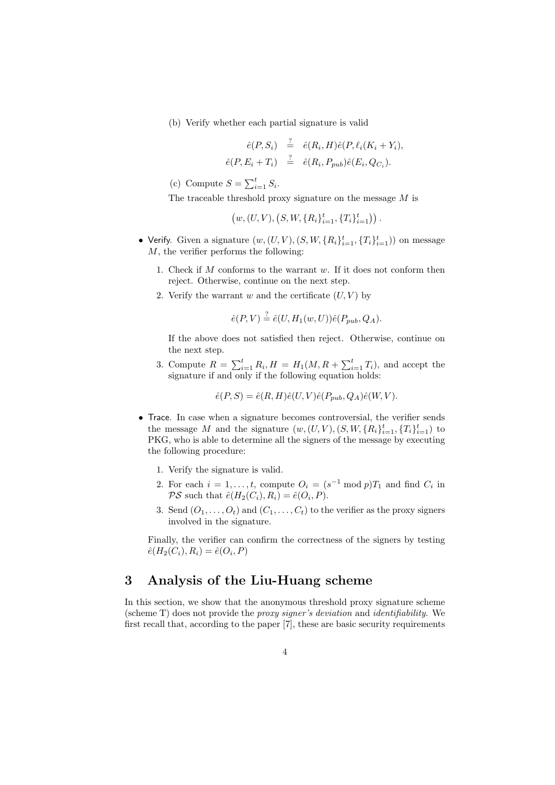(b) Verify whether each partial signature is valid

$$
\begin{array}{rcl}\n\hat{e}(P, S_i) & \stackrel{?}{=} & \hat{e}(R_i, H)\hat{e}(P, \ell_i(K_i + Y_i), \\
\hat{e}(P, E_i + T_i) & \stackrel{?}{=} & \hat{e}(R_i, P_{pub})\hat{e}(E_i, Q_{C_i}).\n\end{array}
$$

(c) Compute  $S = \sum_{i=1}^{t} S_i$ .

The traceable threshold proxy signature on the message *M* is

 $(w, (U, V), (S, W, \{R_i\}_{i=1}^t, \{T_i\}_{i=1}^t))$ .

- Verify. Given a signature  $(w, (U, V), (S, W, \{R_i\}_{i=1}^t, \{T_i\}_{i=1}^t))$  on message *M*, the verifier performs the following:
	- 1. Check if *M* conforms to the warrant *w*. If it does not conform then reject. Otherwise, continue on the next step.
	- 2. Verify the warrant  $w$  and the certificate  $(U, V)$  by

$$
\hat{e}(P,V) \stackrel{?}{=} \hat{e}(U, H_1(w,U))\hat{e}(P_{pub}, Q_A).
$$

If the above does not satisfied then reject. Otherwise, continue on the next step.

3. Compute  $R = \sum_{i=1}^{t} R_i$ ,  $H = H_1(M, R + \sum_{i=1}^{t} T_i)$ , and accept the signature if and only if the following equation holds:

$$
\hat{e}(P, S) = \hat{e}(R, H)\hat{e}(U, V)\hat{e}(P_{pub}, Q_A)\hat{e}(W, V).
$$

- *•* Trace. In case when a signature becomes controversial, the verifier sends the message *M* and the signature  $(w, (U, V), (S, W, \{R_i\}_{i=1}^t, \{T_i\}_{i=1}^t)$  to PKG, who is able to determine all the signers of the message by executing the following procedure:
	- 1. Verify the signature is valid.
	- 2. For each  $i = 1, \ldots, t$ , compute  $O_i = (s^{-1} \mod p)T_1$  and find  $C_i$  in  $PS$  such that  $\hat{e}(H_2(C_i), R_i) = \hat{e}(O_i, P)$ .
	- 3. Send  $(O_1, \ldots, O_t)$  and  $(C_1, \ldots, C_t)$  to the verifier as the proxy signers involved in the signature.

Finally, the verifier can confirm the correctness of the signers by testing  $\hat{e}(H_2(C_i), R_i) = \hat{e}(O_i, P)$ 

## **3 Analysis of the Liu-Huang scheme**

In this section, we show that the anonymous threshold proxy signature scheme (scheme T) does not provide the *proxy signer's deviation* and *identifiability*. We first recall that, according to the paper [7], these are basic security requirements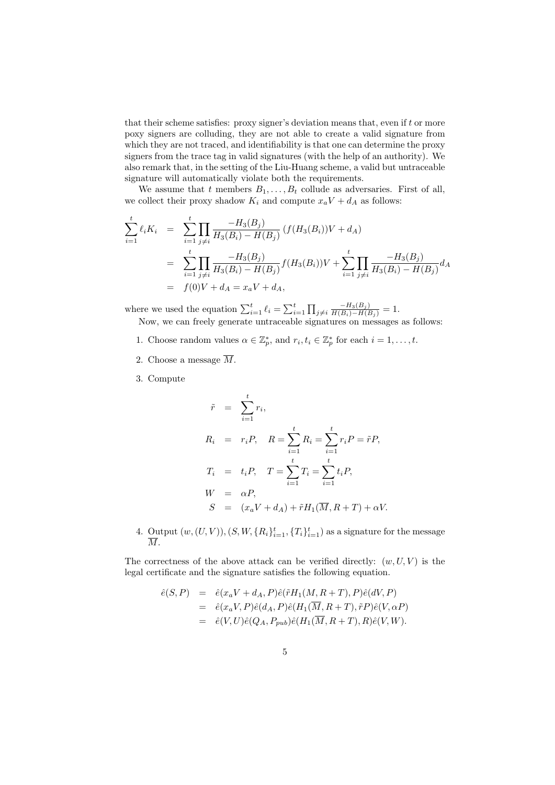that their scheme satisfies: proxy signer's deviation means that, even if *t* or more poxy signers are colluding, they are not able to create a valid signature from which they are not traced, and identifiability is that one can determine the proxy signers from the trace tag in valid signatures (with the help of an authority). We also remark that, in the setting of the Liu-Huang scheme, a valid but untraceable signature will automatically violate both the requirements.

We assume that *t* members  $B_1, \ldots, B_t$  collude as adversaries. First of all, we collect their proxy shadow  $K_i$  and compute  $x_a V + d_A$  as follows:

$$
\sum_{i=1}^{t} \ell_i K_i = \sum_{i=1}^{t} \prod_{j \neq i} \frac{-H_3(B_j)}{H_3(B_i) - H(B_j)} (f(H_3(B_i))V + d_A)
$$
\n
$$
= \sum_{i=1}^{t} \prod_{j \neq i} \frac{-H_3(B_j)}{H_3(B_i) - H(B_j)} f(H_3(B_i))V + \sum_{i=1}^{t} \prod_{j \neq i} \frac{-H_3(B_j)}{H_3(B_i) - H(B_j)} d_A
$$
\n
$$
= f(0)V + d_A = x_a V + d_A,
$$

where we used the equation  $\sum_{i=1}^{t} \ell_i = \sum_{i=1}^{t} \prod_{j \neq i}$  $\frac{-H_3(B_j)}{H(B_i)-H(B_j)}=1.$ Now, we can freely generate untraceable signatures on messages as follows:

- 1. Choose random values  $\alpha \in \mathbb{Z}_p^*$ , and  $r_i, t_i \in \mathbb{Z}_p^*$  for each  $i = 1, \ldots, t$ .
- 2. Choose a message  $\overline{M}$ .
- 3. Compute

$$
\tilde{r} = \sum_{i=1}^{t} r_i,
$$
\n
$$
R_i = r_i P, \quad R = \sum_{i=1}^{t} R_i = \sum_{i=1}^{t} r_i P = \tilde{r} P,
$$
\n
$$
T_i = t_i P, \quad T = \sum_{i=1}^{t} T_i = \sum_{i=1}^{t} t_i P,
$$
\n
$$
W = \alpha P,
$$
\n
$$
S = (x_a V + d_A) + \tilde{r} H_1(\overline{M}, R + T) + \alpha V.
$$

4. Output  $(w, (U, V)), (S, W, \{R_i\}_{i=1}^t, \{T_i\}_{i=1}^t)$  as a signature for the message *M*.

The correctness of the above attack can be verified directly:  $(w, U, V)$  is the legal certificate and the signature satisfies the following equation.

$$
\begin{array}{rcl}\n\hat{e}(S,P) & = & \hat{e}(x_a V + d_A, P)\hat{e}(\tilde{r}H_1(M, R+T), P)\hat{e}(dV, P) \\
& = & \hat{e}(x_a V, P)\hat{e}(d_A, P)\hat{e}(H_1(\overline{M}, R+T), \tilde{r}P)\hat{e}(V, \alpha P) \\
& = & \hat{e}(V, U)\hat{e}(Q_A, P_{pub})\hat{e}(H_1(\overline{M}, R+T), R)\hat{e}(V, W).\n\end{array}
$$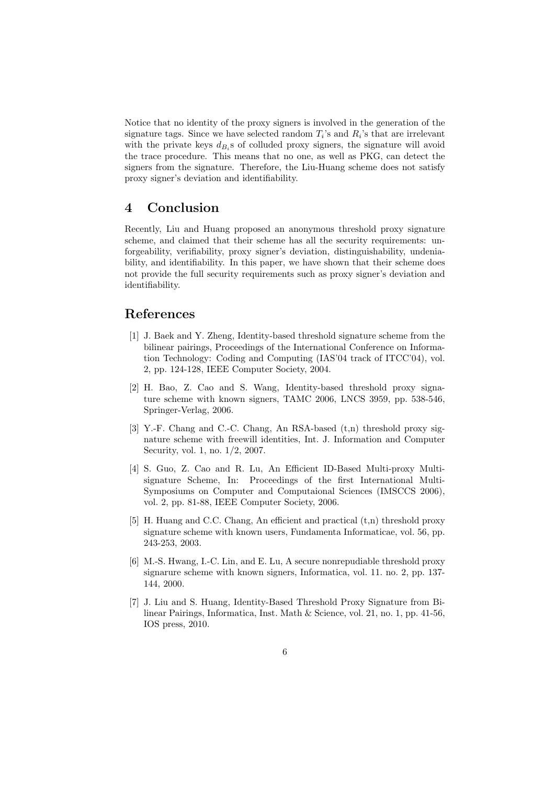Notice that no identity of the proxy signers is involved in the generation of the signature tags. Since we have selected random  $T_i$ 's and  $R_i$ 's that are irrelevant with the private keys  $d_{B_i}$ s of colluded proxy signers, the signature will avoid the trace procedure. This means that no one, as well as PKG, can detect the signers from the signature. Therefore, the Liu-Huang scheme does not satisfy proxy signer's deviation and identifiability.

#### **4 Conclusion**

Recently, Liu and Huang proposed an anonymous threshold proxy signature scheme, and claimed that their scheme has all the security requirements: unforgeability, verifiability, proxy signer's deviation, distinguishability, undeniability, and identifiability. In this paper, we have shown that their scheme does not provide the full security requirements such as proxy signer's deviation and identifiability.

### **References**

- [1] J. Baek and Y. Zheng, Identity-based threshold signature scheme from the bilinear pairings, Proceedings of the International Conference on Information Technology: Coding and Computing (IAS'04 track of ITCC'04), vol. 2, pp. 124-128, IEEE Computer Society, 2004.
- [2] H. Bao, Z. Cao and S. Wang, Identity-based threshold proxy signature scheme with known signers, TAMC 2006, LNCS 3959, pp. 538-546, Springer-Verlag, 2006.
- [3] Y.-F. Chang and C.-C. Chang, An RSA-based (t,n) threshold proxy signature scheme with freewill identities, Int. J. Information and Computer Security, vol. 1, no. 1/2, 2007.
- [4] S. Guo, Z. Cao and R. Lu, An Efficient ID-Based Multi-proxy Multisignature Scheme, In: Proceedings of the first International Multi-Symposiums on Computer and Computaional Sciences (IMSCCS 2006), vol. 2, pp. 81-88, IEEE Computer Society, 2006.
- [5] H. Huang and C.C. Chang, An efficient and practical (t,n) threshold proxy signature scheme with known users, Fundamenta Informaticae, vol. 56, pp. 243-253, 2003.
- [6] M.-S. Hwang, I.-C. Lin, and E. Lu, A secure nonrepudiable threshold proxy signarure scheme with known signers, Informatica, vol. 11. no. 2, pp. 137- 144, 2000.
- [7] J. Liu and S. Huang, Identity-Based Threshold Proxy Signature from Bilinear Pairings, Informatica, Inst. Math & Science, vol. 21, no. 1, pp. 41-56, IOS press, 2010.